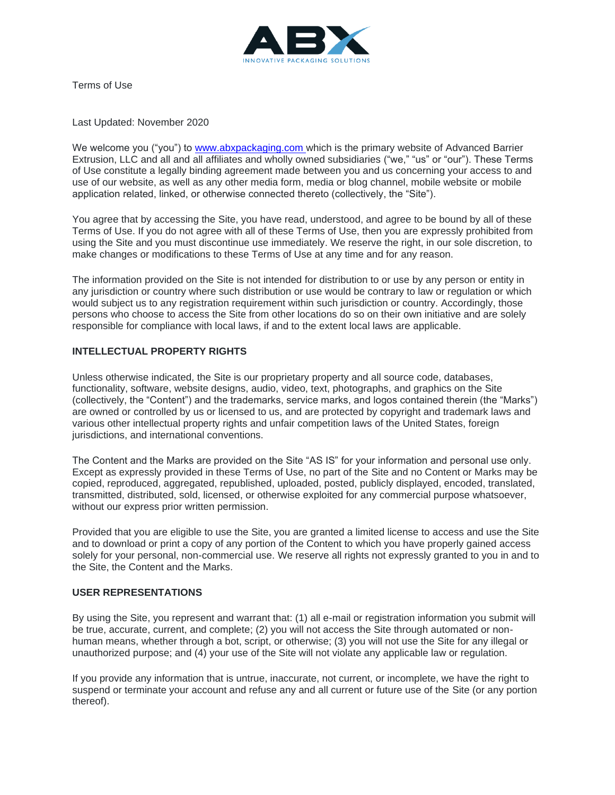

Terms of Use

Last Updated: November 2020

We welcome you ("you") to [www.abxpackaging.com](www.abxpackaging.com ) which is the primary website of Advanced Barrier Extrusion, LLC and all and all affiliates and wholly owned subsidiaries ("we," "us" or "our"). These Terms of Use constitute a legally binding agreement made between you and us concerning your access to and use of our website, as well as any other media form, media or blog channel, mobile website or mobile application related, linked, or otherwise connected thereto (collectively, the "Site").

You agree that by accessing the Site, you have read, understood, and agree to be bound by all of these Terms of Use. If you do not agree with all of these Terms of Use, then you are expressly prohibited from using the Site and you must discontinue use immediately. We reserve the right, in our sole discretion, to make changes or modifications to these Terms of Use at any time and for any reason.

The information provided on the Site is not intended for distribution to or use by any person or entity in any jurisdiction or country where such distribution or use would be contrary to law or regulation or which would subject us to any registration requirement within such jurisdiction or country. Accordingly, those persons who choose to access the Site from other locations do so on their own initiative and are solely responsible for compliance with local laws, if and to the extent local laws are applicable.

## **INTELLECTUAL PROPERTY RIGHTS**

Unless otherwise indicated, the Site is our proprietary property and all source code, databases, functionality, software, website designs, audio, video, text, photographs, and graphics on the Site (collectively, the "Content") and the trademarks, service marks, and logos contained therein (the "Marks") are owned or controlled by us or licensed to us, and are protected by copyright and trademark laws and various other intellectual property rights and unfair competition laws of the United States, foreign jurisdictions, and international conventions.

The Content and the Marks are provided on the Site "AS IS" for your information and personal use only. Except as expressly provided in these Terms of Use, no part of the Site and no Content or Marks may be copied, reproduced, aggregated, republished, uploaded, posted, publicly displayed, encoded, translated, transmitted, distributed, sold, licensed, or otherwise exploited for any commercial purpose whatsoever, without our express prior written permission.

Provided that you are eligible to use the Site, you are granted a limited license to access and use the Site and to download or print a copy of any portion of the Content to which you have properly gained access solely for your personal, non-commercial use. We reserve all rights not expressly granted to you in and to the Site, the Content and the Marks.

## **USER REPRESENTATIONS**

By using the Site, you represent and warrant that: (1) all e-mail or registration information you submit will be true, accurate, current, and complete; (2) you will not access the Site through automated or nonhuman means, whether through a bot, script, or otherwise; (3) you will not use the Site for any illegal or unauthorized purpose; and (4) your use of the Site will not violate any applicable law or regulation.

If you provide any information that is untrue, inaccurate, not current, or incomplete, we have the right to suspend or terminate your account and refuse any and all current or future use of the Site (or any portion thereof).